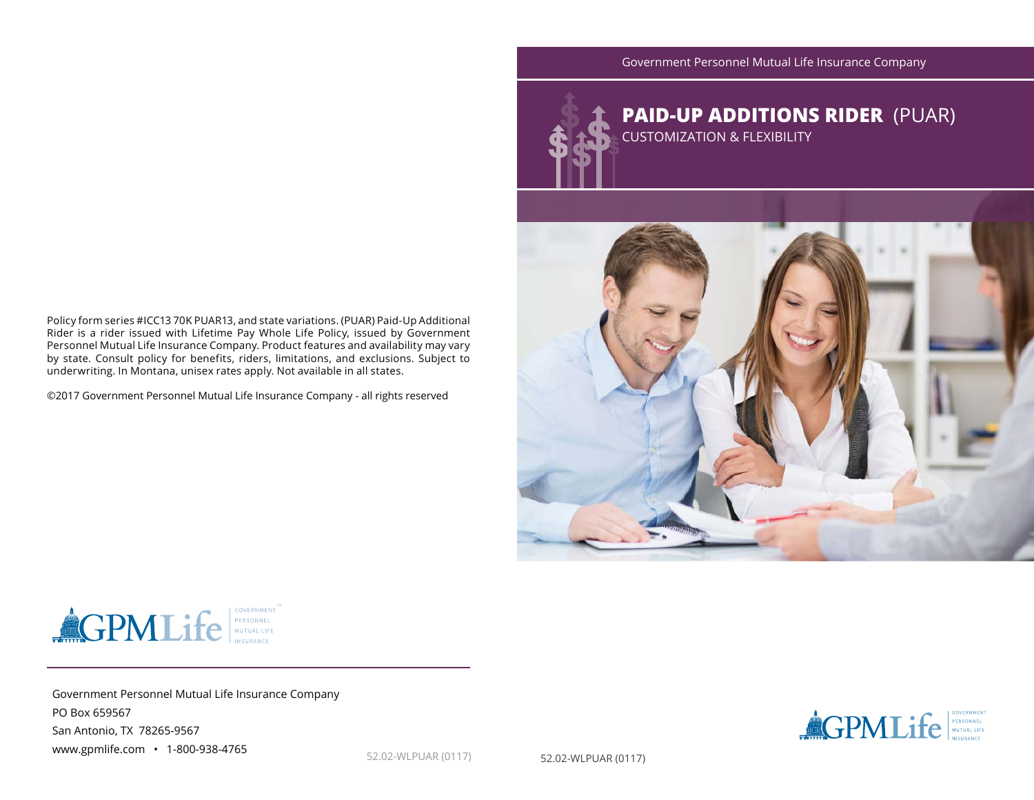Government Personnel Mutual Life Insurance Company



Policy form series #ICC13 70K PUAR13, and state variations. (PUAR) Paid-Up Additional Rider is a rider issued with Lifetime Pay Whole Life Policy, issued by Government Personnel Mutual Life Insurance Company. Product features and availability may vary by state. Consult policy for benefits, riders, limitations, and exclusions. Subject to underwriting. In Montana, unisex rates apply. Not available in all states.

©2017 Government Personnel Mutual Life Insurance Company - all rights reserved



Government Personnel Mutual Life Insurance Company PO Box 659567 San Antonio, TX 78265-9567 www.gpmlife.com • 1-800-938-4765



52.02-WLPUAR (0117) 52.02-WLPUAR (0117)